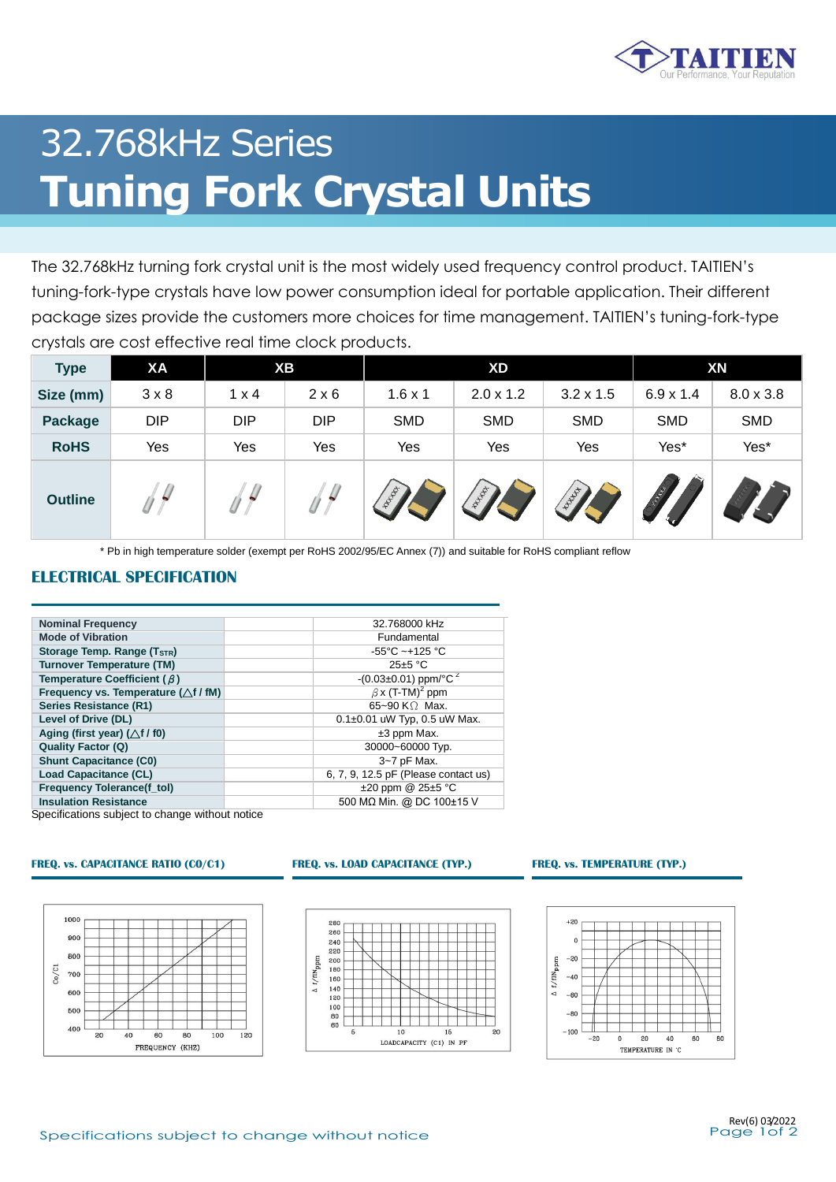

# 32.768kHz Series **Tuning Fork Crystal Units**

The 32.768kHz turning fork crystal unit is the most widely used frequency control product. TAITIEN's tuning-fork-type crystals have low power consumption ideal for portable application. Their different package sizes provide the customers more choices for time management. TAITIEN's tuning-fork-type crystals are cost effective real time clock products.

| <b>Type</b>    | <b>XA</b>    |              | XВ           |                | <b>XD</b>        |                  |                  | XN               |
|----------------|--------------|--------------|--------------|----------------|------------------|------------------|------------------|------------------|
| Size (mm)      | $3 \times 8$ | $1 \times 4$ | $2 \times 6$ | $1.6 \times 1$ | $2.0 \times 1.2$ | $3.2 \times 1.5$ | $6.9 \times 1.4$ | $8.0 \times 3.8$ |
| <b>Package</b> | <b>DIP</b>   | <b>DIP</b>   | <b>DIP</b>   | <b>SMD</b>     | <b>SMD</b>       | <b>SMD</b>       | <b>SMD</b>       | <b>SMD</b>       |
| <b>RoHS</b>    | Yes          | Yes          | Yes          | Yes            | Yes              | Yes              | Yes*             | Yes*             |
| <b>Outline</b> | $\sqrt{}$    | ₩            |              | ALLEY          | <b>Whater</b>    | <b>WINT</b>      | HANGA            |                  |

\* Pb in high temperature solder (exempt per RoHS 2002/95/EC Annex (7)) and suitable for RoHS compliant reflow

### **ELECTRICAL SPECIFICATION**

| <b>Nominal Frequency</b>                        | 32.768000 kHz                        |
|-------------------------------------------------|--------------------------------------|
| <b>Mode of Vibration</b>                        | Fundamental                          |
| Storage Temp. Range (T <sub>STR</sub> )         | $-55^{\circ}$ C ~+125 °C             |
| <b>Turnover Temperature (TM)</b>                | $25 \pm 5$ °C                        |
| Temperature Coefficient ( $\beta$ )             | $-(0.03\pm0.01)$ ppm/°C <sup>2</sup> |
| Frequency vs. Temperature ( $\triangle f$ / fM) | $\beta$ x (T-TM) <sup>2</sup> ppm    |
| <b>Series Resistance (R1)</b>                   | 65~90 K $\Omega$ Max.                |
| Level of Drive (DL)                             | $0.1\pm0.01$ uW Typ, 0.5 uW Max.     |
| Aging (first year) $(\triangle f / f0)$         | $±3$ ppm Max.                        |
| <b>Quality Factor (Q)</b>                       | 30000~60000 Typ.                     |
| <b>Shunt Capacitance (C0)</b>                   | 3~7 pF Max.                          |
| <b>Load Capacitance (CL)</b>                    | 6, 7, 9, 12.5 pF (Please contact us) |
| <b>Frequency Tolerance(f tol)</b>               | $\pm 20$ ppm @ 25 $\pm 5$ °C         |
| <b>Insulation Resistance</b>                    | 500 MΩ Min. @ DC 100±15 V            |

Specifications subject to change without notice

### **FREQ. vs. CAPACITANCE RATIO (C0/C1) FREQ. vs. LOAD CAPACITANCE (TYP.) FREQ. vs. TEMPERATURE (TYP.)**